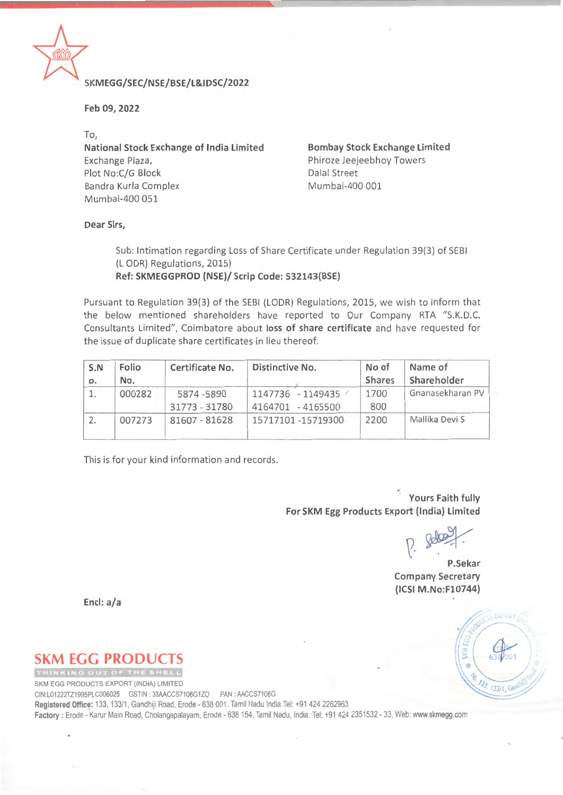

## **\* KMEGG/SEC/NSE/BSE/L&IDSC/2022**

**Feb 09, 2022** 

**To, National Stock Exchange of India Limited**  Exchange Plaza, Plot No:C/G Block **Dalal Street** Bandra Kurla Complex Mumbai-400 001 Mumbai-400 051

**Bombay Stock Exchange Limited**  Phiroze Jeejeebhoy Towers

**Dear Sirs,** 

Sub: Intimation regarding Loss of Share Certificate under Regulation 39(3) of SEBI (L ODR) Regulations, 2015) **Ref: SKMEGGPROD (NSE)/ Scrip Code: 532143(BSE)** 

Pursuant to Regulation 39(3) of the SEBI (LODR) Regulations, 2015, we wish to inform that the below mentioned shareholders have reported to Our Company RTA "S.K.D.C. Consultants Limited", Coimbatore about loss of share certificate and have requested for the issue of duplicate share certificates in lieu thereof.

| S.N<br>0. | Folio<br>No. | Certificate No.            | Distinctive No.                        | No of<br><b>Shares</b> | Name of<br>Shareholder |  |
|-----------|--------------|----------------------------|----------------------------------------|------------------------|------------------------|--|
|           | 000282       | 5874-5890<br>31773 - 31780 | 1147736 - 1149435<br>4164701 - 4165500 | 1700<br>800            | Gnanasekharan PV       |  |
|           | 007273       | 81607 - 81628              | 15717101 -15719300                     | 2200                   | Mallika Devi S         |  |

This is for your kind information and records.

**Yours Faith fully For SKM Egg Products Export (India) Limited** 

~ **P.Sekar** 

**Company Secretary (ICSI M.No:F10744)** 

**Encl: a/a** 

## **SKM EGG PRODUC**

SKM EGG PRODUCTS EXPORT (INDIA) LIMITED

CIN:L01222TZ1995PLC006025 GSTIN: 33AACCS7106G1ZO PAN: AACCS7106G **Registered Office:** 133, 133/1, Gandhiji Road, Erode - 638 001. Tamil Nadu India. Tel: +91 424 2262963 **Factory:** Erode - Karur Main Road, Cholangapalayam, Erode- 638154, Tamil Nadu, lndia:Tel: +914242351532- 33, Web: **www.skmegg.com** 

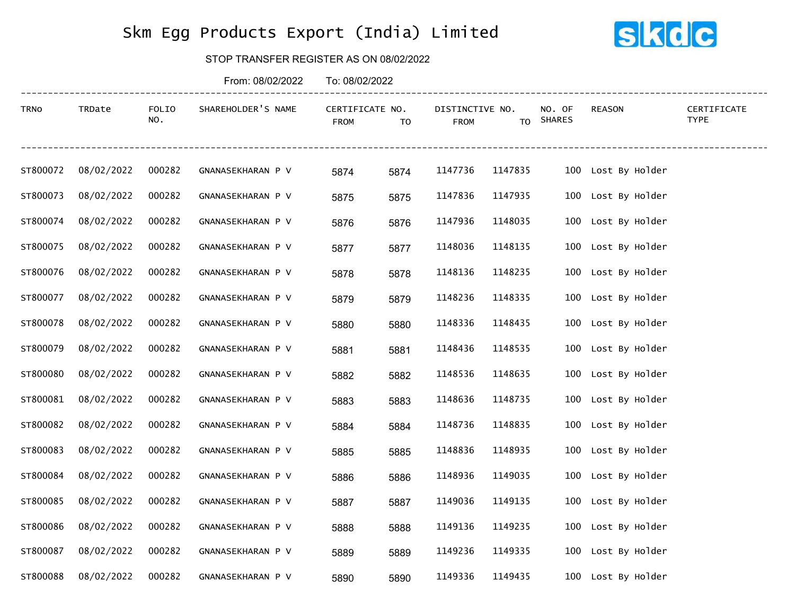## Skm Egg Products Export (India) Limited



## STOP TRANSFER REGISTER AS ON 08/02/2022

|          |            |              | From: 08/02/2022   | To: 08/02/2022                 |      |                                |         |                     |                    |                            |
|----------|------------|--------------|--------------------|--------------------------------|------|--------------------------------|---------|---------------------|--------------------|----------------------------|
| TRNO     | TRDate     | FOLIO<br>NO. | SHAREHOLDER'S NAME | CERTIFICATE NO.<br><b>FROM</b> | TO   | DISTINCTIVE NO.<br><b>FROM</b> |         | NO. OF<br>TO SHARES | <b>REASON</b>      | CERTIFICATE<br><b>TYPE</b> |
| ST800072 | 08/02/2022 | 000282       | GNANASEKHARAN P V  | 5874                           | 5874 | 1147736                        | 1147835 |                     | 100 Lost By Holder |                            |
| ST800073 | 08/02/2022 | 000282       | GNANASEKHARAN P V  | 5875                           | 5875 | 1147836                        | 1147935 |                     | 100 Lost By Holder |                            |
| ST800074 | 08/02/2022 | 000282       | GNANASEKHARAN P V  | 5876                           | 5876 | 1147936                        | 1148035 |                     | 100 Lost By Holder |                            |
| ST800075 | 08/02/2022 | 000282       | GNANASEKHARAN P V  | 5877                           | 5877 | 1148036                        | 1148135 |                     | 100 Lost By Holder |                            |
| ST800076 | 08/02/2022 | 000282       | GNANASEKHARAN P V  | 5878                           | 5878 | 1148136                        | 1148235 |                     | 100 Lost By Holder |                            |
| ST800077 | 08/02/2022 | 000282       | GNANASEKHARAN P V  | 5879                           | 5879 | 1148236                        | 1148335 |                     | 100 Lost By Holder |                            |
| ST800078 | 08/02/2022 | 000282       | GNANASEKHARAN P V  | 5880                           | 5880 | 1148336                        | 1148435 |                     | 100 Lost By Holder |                            |
| ST800079 | 08/02/2022 | 000282       | GNANASEKHARAN P V  | 5881                           | 5881 | 1148436                        | 1148535 |                     | 100 Lost By Holder |                            |
| ST800080 | 08/02/2022 | 000282       | GNANASEKHARAN P V  | 5882                           | 5882 | 1148536                        | 1148635 |                     | 100 Lost By Holder |                            |
| ST800081 | 08/02/2022 | 000282       | GNANASEKHARAN P V  | 5883                           | 5883 | 1148636                        | 1148735 |                     | 100 Lost By Holder |                            |
| ST800082 | 08/02/2022 | 000282       | GNANASEKHARAN P V  | 5884                           | 5884 | 1148736                        | 1148835 |                     | 100 Lost By Holder |                            |
| ST800083 | 08/02/2022 | 000282       | GNANASEKHARAN P V  | 5885                           | 5885 | 1148836                        | 1148935 |                     | 100 Lost By Holder |                            |
| ST800084 | 08/02/2022 | 000282       | GNANASEKHARAN P V  | 5886                           | 5886 | 1148936                        | 1149035 |                     | 100 Lost By Holder |                            |
| ST800085 | 08/02/2022 | 000282       | GNANASEKHARAN P V  | 5887                           | 5887 | 1149036                        | 1149135 |                     | 100 Lost By Holder |                            |
| ST800086 | 08/02/2022 | 000282       | GNANASEKHARAN P V  | 5888                           | 5888 | 1149136                        | 1149235 |                     | 100 Lost By Holder |                            |
| ST800087 | 08/02/2022 | 000282       | GNANASEKHARAN P V  | 5889                           | 5889 | 1149236                        | 1149335 |                     | 100 Lost By Holder |                            |
| ST800088 | 08/02/2022 | 000282       | GNANASEKHARAN P V  | 5890                           | 5890 | 1149336                        | 1149435 |                     | 100 Lost By Holder |                            |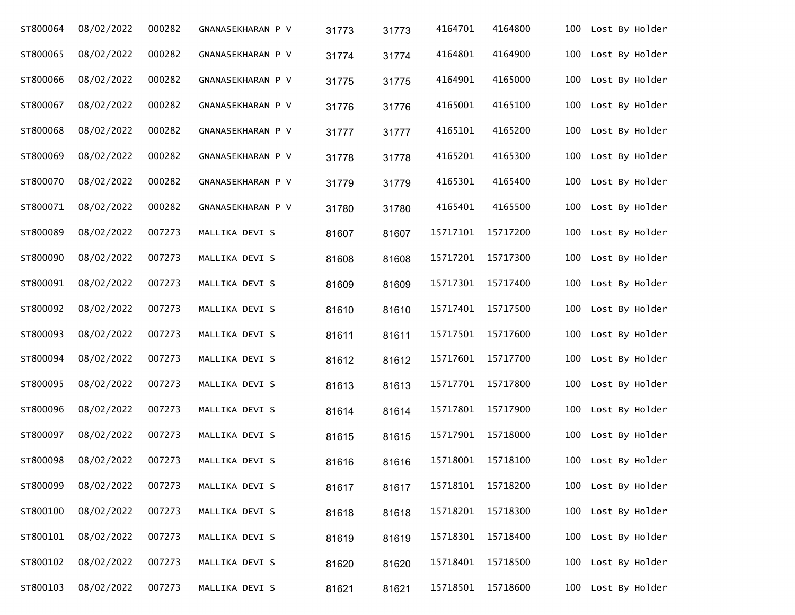| ST800064 | 08/02/2022 | 000282 | GNANASEKHARAN P V | 31773 | 31773 | 4164701  | 4164800  | 100 | Lost By Holder     |
|----------|------------|--------|-------------------|-------|-------|----------|----------|-----|--------------------|
| ST800065 | 08/02/2022 | 000282 | GNANASEKHARAN P V | 31774 | 31774 | 4164801  | 4164900  | 100 | Lost By Holder     |
| ST800066 | 08/02/2022 | 000282 | GNANASEKHARAN P V | 31775 | 31775 | 4164901  | 4165000  | 100 | Lost By Holder     |
| ST800067 | 08/02/2022 | 000282 | GNANASEKHARAN P V | 31776 | 31776 | 4165001  | 4165100  | 100 | Lost By Holder     |
| ST800068 | 08/02/2022 | 000282 | GNANASEKHARAN P V | 31777 | 31777 | 4165101  | 4165200  | 100 | Lost By Holder     |
| ST800069 | 08/02/2022 | 000282 | GNANASEKHARAN P V | 31778 | 31778 | 4165201  | 4165300  | 100 | Lost By Holder     |
| ST800070 | 08/02/2022 | 000282 | GNANASEKHARAN P V | 31779 | 31779 | 4165301  | 4165400  | 100 | Lost By Holder     |
| ST800071 | 08/02/2022 | 000282 | GNANASEKHARAN P V | 31780 | 31780 | 4165401  | 4165500  | 100 | Lost By Holder     |
| ST800089 | 08/02/2022 | 007273 | MALLIKA DEVI S    | 81607 | 81607 | 15717101 | 15717200 | 100 | Lost By Holder     |
| ST800090 | 08/02/2022 | 007273 | MALLIKA DEVI S    | 81608 | 81608 | 15717201 | 15717300 | 100 | Lost By Holder     |
| ST800091 | 08/02/2022 | 007273 | MALLIKA DEVI S    | 81609 | 81609 | 15717301 | 15717400 | 100 | Lost By Holder     |
| ST800092 | 08/02/2022 | 007273 | MALLIKA DEVI S    | 81610 | 81610 | 15717401 | 15717500 | 100 | Lost By Holder     |
| ST800093 | 08/02/2022 | 007273 | MALLIKA DEVI S    | 81611 | 81611 | 15717501 | 15717600 | 100 | Lost By Holder     |
| ST800094 | 08/02/2022 | 007273 | MALLIKA DEVI S    | 81612 | 81612 | 15717601 | 15717700 | 100 | Lost By Holder     |
| ST800095 | 08/02/2022 | 007273 | MALLIKA DEVI S    | 81613 | 81613 | 15717701 | 15717800 | 100 | Lost By Holder     |
| ST800096 | 08/02/2022 | 007273 | MALLIKA DEVI S    | 81614 | 81614 | 15717801 | 15717900 | 100 | Lost By Holder     |
| ST800097 | 08/02/2022 | 007273 | MALLIKA DEVI S    | 81615 | 81615 | 15717901 | 15718000 | 100 | Lost By Holder     |
| ST800098 | 08/02/2022 | 007273 | MALLIKA DEVI S    | 81616 | 81616 | 15718001 | 15718100 | 100 | Lost By Holder     |
| ST800099 | 08/02/2022 | 007273 | MALLIKA DEVI S    | 81617 | 81617 | 15718101 | 15718200 |     | 100 Lost By Holder |
| ST800100 | 08/02/2022 | 007273 | MALLIKA DEVI S    | 81618 | 81618 | 15718201 | 15718300 | 100 | Lost By Holder     |
| ST800101 | 08/02/2022 | 007273 | MALLIKA DEVI S    | 81619 | 81619 | 15718301 | 15718400 | 100 | Lost By Holder     |
| ST800102 | 08/02/2022 | 007273 | MALLIKA DEVI S    | 81620 | 81620 | 15718401 | 15718500 | 100 | Lost By Holder     |
| ST800103 | 08/02/2022 | 007273 | MALLIKA DEVI S    | 81621 | 81621 | 15718501 | 15718600 |     | 100 Lost By Holder |